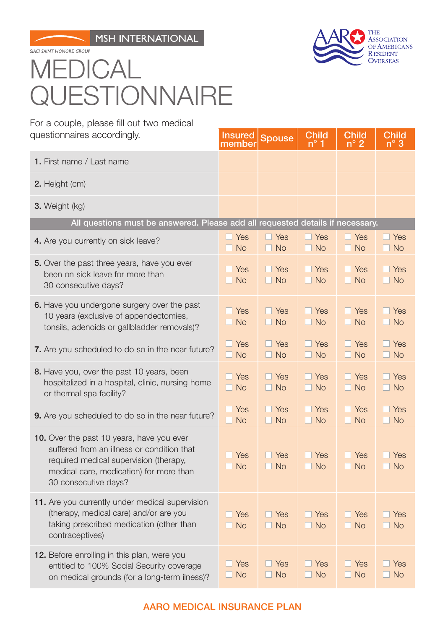SIACI SAINT HONORE GROUP

## THE **ASSOCIATION** OF AMERICANS **RESIDENT OVERSEAS**

## MEDICAL **QUESTIONNAIRE**

For a couple, please fill out two medical questionnaires accordingly.

| questionnaires accordingly.                                                                                                                                                                          | <b>Insured</b><br>member              | <b>Spouse</b>           | Chil <u>d</u><br>$n^{\circ}$ 1 | <b>Child</b><br>$n^{\circ}$ 2 | <b>Child</b><br>$n^{\circ}$ 3 |
|------------------------------------------------------------------------------------------------------------------------------------------------------------------------------------------------------|---------------------------------------|-------------------------|--------------------------------|-------------------------------|-------------------------------|
| 1. First name / Last name                                                                                                                                                                            |                                       |                         |                                |                               |                               |
| 2. Height (cm)                                                                                                                                                                                       |                                       |                         |                                |                               |                               |
| 3. Weight (kg)                                                                                                                                                                                       |                                       |                         |                                |                               |                               |
| All questions must be answered. Please add all requested details if necessary.                                                                                                                       |                                       |                         |                                |                               |                               |
| 4. Are you currently on sick leave?                                                                                                                                                                  | $\Box$ Yes<br>$\Box$ No               | $\Box$ Yes<br>$\Box$ No | $\Box$ Yes<br>$\Box$ No        | $\Box$ Yes<br>$\Box$ No       | $\Box$ Yes<br>$\Box$ No       |
| 5. Over the past three years, have you ever<br>been on sick leave for more than<br>30 consecutive days?                                                                                              | Yes<br>$\Box$ No                      | $\Box$ Yes<br>$\Box$ No | $\Box$ Yes<br>$\Box$ No        | $\Box$ Yes<br>$\Box$ No       | $\Box$ Yes<br>$\Box$ No       |
| 6. Have you undergone surgery over the past<br>10 years (exclusive of appendectomies,<br>tonsils, adenoids or gallbladder removals)?                                                                 | $\Box$ Yes<br>$\Box$ No               | $\Box$ Yes<br>$\Box$ No | $\Box$ Yes<br>$\Box$ No        | $\Box$ Yes<br>$\Box$ No       | $\Box$ Yes<br>$\Box$ No       |
| 7. Are you scheduled to do so in the near future?                                                                                                                                                    | $\Box$ Yes<br>$\Box$ No               | $\Box$ Yes<br>$\Box$ No | $\Box$ Yes<br>$\Box$ No        | $\Box$ Yes<br>$\Box$ No       | $\Box$ Yes<br>$\Box$ No       |
| 8. Have you, over the past 10 years, been<br>hospitalized in a hospital, clinic, nursing home<br>or thermal spa facility?                                                                            | $\Box$ Yes<br>$\Box$ No               | $\Box$ Yes<br>$\Box$ No | $\Box$ Yes<br>$\Box$ No        | $\Box$ Yes<br>$\Box$ No       | $\Box$ Yes<br>$\Box$ No       |
| 9. Are you scheduled to do so in the near future?                                                                                                                                                    | Yes<br>H.<br>$\Box$ No                | $\Box$ Yes<br>$\Box$ No | $\Box$ Yes<br>$\Box$ No        | $\Box$ Yes<br>$\Box$ No       | $\Box$ Yes<br>$\Box$ No       |
| 10. Over the past 10 years, have you ever<br>suffered from an illness or condition that<br>required medical supervision (therapy,<br>medical care, medication) for more than<br>30 consecutive days? | $\Box$ Yes<br>$\Box$ No               | $\Box$ Yes<br>$\Box$ No | $\Box$ Yes<br>$\Box$ No        | $\Box$ Yes<br>$\Box$ No       | $\Box$ Yes<br>$\Box$ No       |
| 11. Are you currently under medical supervision<br>(therapy, medical care) and/or are you<br>taking prescribed medication (other than<br>contraceptives)                                             | $\Box$ Yes<br><b>No</b><br><b>COL</b> | $\Box$ Yes<br>$\Box$ No | $\Box$ Yes<br>$\Box$ No        | $\Box$ Yes<br>$\Box$ No       | $\Box$ Yes<br>$\Box$ No       |
| 12. Before enrolling in this plan, were you<br>entitled to 100% Social Security coverage<br>on medical grounds (for a long-term ilness)?                                                             | $\Box$ Yes<br>$\Box$ No               | $\Box$ Yes<br>$\Box$ No | $\Box$ Yes<br>$\Box$ No        | $\Box$ Yes<br>$\Box$ No       | $\Box$ Yes<br>$\Box$ No       |